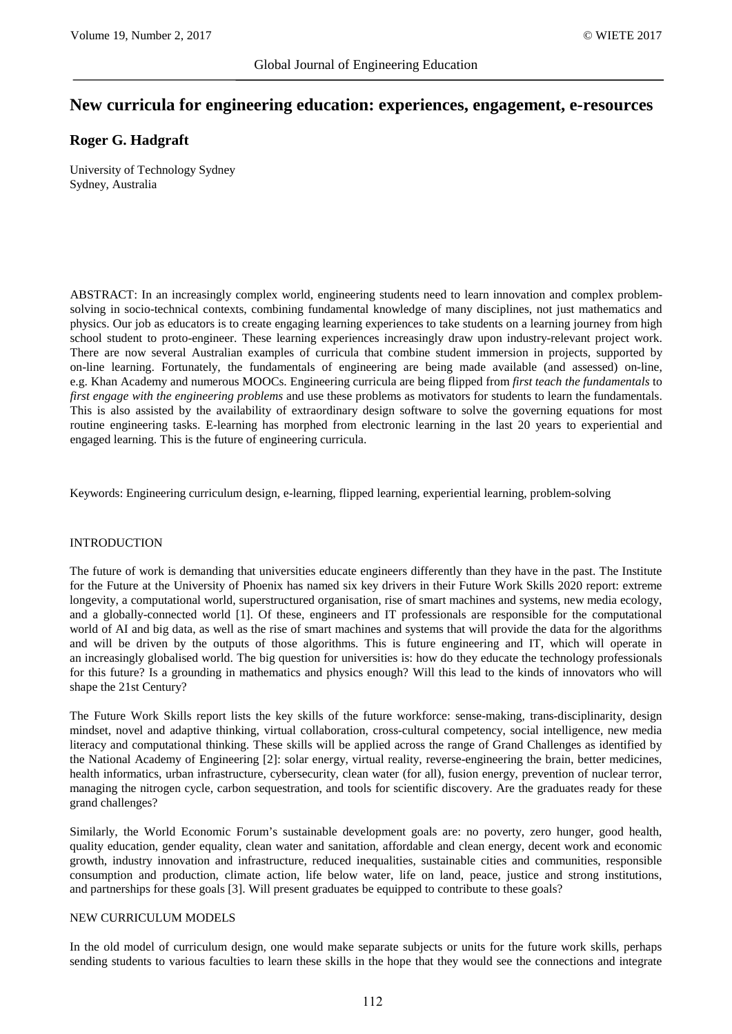# **New curricula for engineering education: experiences, engagement, e-resources**

## **Roger G. Hadgraft**

University of Technology Sydney Sydney, Australia

ABSTRACT: In an increasingly complex world, engineering students need to learn innovation and complex problemsolving in socio-technical contexts, combining fundamental knowledge of many disciplines, not just mathematics and physics. Our job as educators is to create engaging learning experiences to take students on a learning journey from high school student to proto-engineer. These learning experiences increasingly draw upon industry-relevant project work. There are now several Australian examples of curricula that combine student immersion in projects, supported by on-line learning. Fortunately, the fundamentals of engineering are being made available (and assessed) on-line, e.g. Khan Academy and numerous MOOCs. Engineering curricula are being flipped from *first teach the fundamentals* to *first engage with the engineering problems* and use these problems as motivators for students to learn the fundamentals. This is also assisted by the availability of extraordinary design software to solve the governing equations for most routine engineering tasks. E-learning has morphed from electronic learning in the last 20 years to experiential and engaged learning. This is the future of engineering curricula.

Keywords: Engineering curriculum design, e-learning, flipped learning, experiential learning, problem-solving

#### INTRODUCTION

The future of work is demanding that universities educate engineers differently than they have in the past. The Institute for the Future at the University of Phoenix has named six key drivers in their Future Work Skills 2020 report: extreme longevity, a computational world, superstructured organisation, rise of smart machines and systems, new media ecology, and a globally-connected world [1]. Of these, engineers and IT professionals are responsible for the computational world of AI and big data, as well as the rise of smart machines and systems that will provide the data for the algorithms and will be driven by the outputs of those algorithms. This is future engineering and IT, which will operate in an increasingly globalised world. The big question for universities is: how do they educate the technology professionals for this future? Is a grounding in mathematics and physics enough? Will this lead to the kinds of innovators who will shape the 21st Century?

The Future Work Skills report lists the key skills of the future workforce: sense-making, trans-disciplinarity, design mindset, novel and adaptive thinking, virtual collaboration, cross-cultural competency, social intelligence, new media literacy and computational thinking. These skills will be applied across the range of Grand Challenges as identified by the National Academy of Engineering [2]: solar energy, virtual reality, reverse-engineering the brain, better medicines, health informatics, urban infrastructure, cybersecurity, clean water (for all), fusion energy, prevention of nuclear terror, managing the nitrogen cycle, carbon sequestration, and tools for scientific discovery. Are the graduates ready for these grand challenges?

Similarly, the World Economic Forum's sustainable development goals are: no poverty, zero hunger, good health, quality education, gender equality, clean water and sanitation, affordable and clean energy, decent work and economic growth, industry innovation and infrastructure, reduced inequalities, sustainable cities and communities, responsible consumption and production, climate action, life below water, life on land, peace, justice and strong institutions, and partnerships for these goals [3]. Will present graduates be equipped to contribute to these goals?

#### NEW CURRICULUM MODELS

In the old model of curriculum design, one would make separate subjects or units for the future work skills, perhaps sending students to various faculties to learn these skills in the hope that they would see the connections and integrate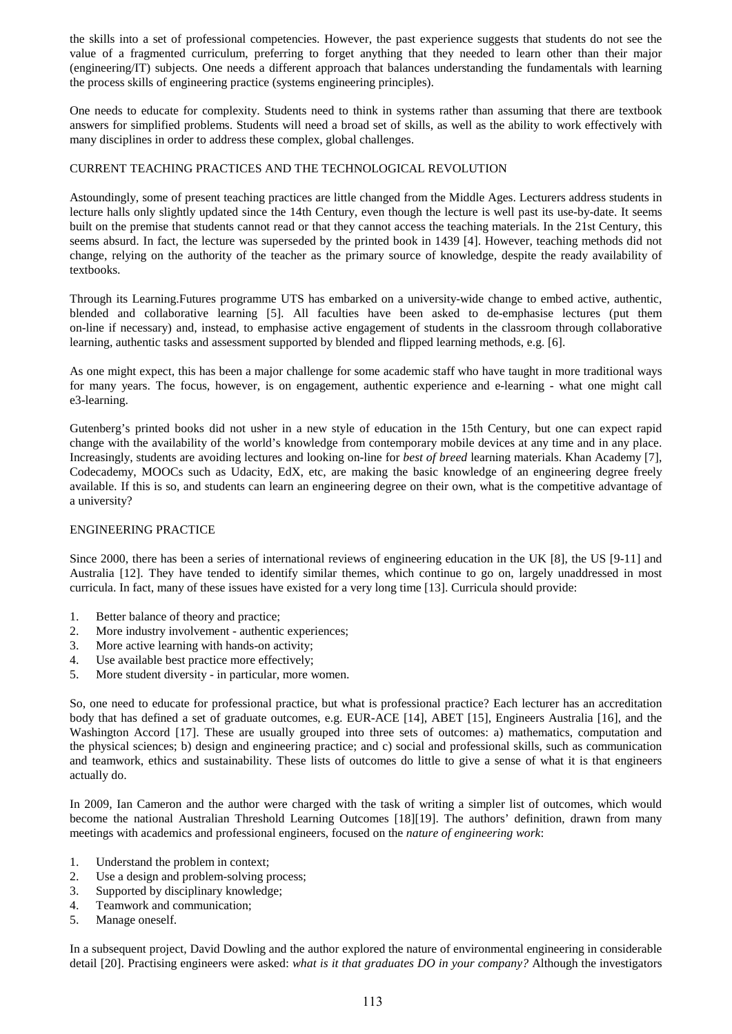the skills into a set of professional competencies. However, the past experience suggests that students do not see the value of a fragmented curriculum, preferring to forget anything that they needed to learn other than their major (engineering/IT) subjects. One needs a different approach that balances understanding the fundamentals with learning the process skills of engineering practice (systems engineering principles).

One needs to educate for complexity. Students need to think in systems rather than assuming that there are textbook answers for simplified problems. Students will need a broad set of skills, as well as the ability to work effectively with many disciplines in order to address these complex, global challenges.

## CURRENT TEACHING PRACTICES AND THE TECHNOLOGICAL REVOLUTION

Astoundingly, some of present teaching practices are little changed from the Middle Ages. Lecturers address students in lecture halls only slightly updated since the 14th Century, even though the lecture is well past its use-by-date. It seems built on the premise that students cannot read or that they cannot access the teaching materials. In the 21st Century, this seems absurd. In fact, the lecture was superseded by the printed book in 1439 [4]. However, teaching methods did not change, relying on the authority of the teacher as the primary source of knowledge, despite the ready availability of textbooks.

Through its Learning.Futures programme UTS has embarked on a university-wide change to embed active, authentic, blended and collaborative learning [5]. All faculties have been asked to de-emphasise lectures (put them on-line if necessary) and, instead, to emphasise active engagement of students in the classroom through collaborative learning, authentic tasks and assessment supported by blended and flipped learning methods, e.g. [6].

As one might expect, this has been a major challenge for some academic staff who have taught in more traditional ways for many years. The focus, however, is on engagement, authentic experience and e-learning - what one might call e3-learning.

Gutenberg's printed books did not usher in a new style of education in the 15th Century, but one can expect rapid change with the availability of the world's knowledge from contemporary mobile devices at any time and in any place. Increasingly, students are avoiding lectures and looking on-line for *best of breed* learning materials. Khan Academy [7], Codecademy, MOOCs such as Udacity, EdX, etc, are making the basic knowledge of an engineering degree freely available. If this is so, and students can learn an engineering degree on their own, what is the competitive advantage of a university?

## ENGINEERING PRACTICE

Since 2000, there has been a series of international reviews of engineering education in the UK [8], the US [9-11] and Australia [12]. They have tended to identify similar themes, which continue to go on, largely unaddressed in most curricula. In fact, many of these issues have existed for a very long time [13]. Curricula should provide:

- 1. Better balance of theory and practice;
- 2. More industry involvement authentic experiences;
- 3. More active learning with hands-on activity;
- 4. Use available best practice more effectively;
- 5. More student diversity in particular, more women.

So, one need to educate for professional practice, but what is professional practice? Each lecturer has an accreditation body that has defined a set of graduate outcomes, e.g. EUR-ACE [14], ABET [15], Engineers Australia [16], and the Washington Accord [17]. These are usually grouped into three sets of outcomes: a) mathematics, computation and the physical sciences; b) design and engineering practice; and c) social and professional skills, such as communication and teamwork, ethics and sustainability. These lists of outcomes do little to give a sense of what it is that engineers actually do.

In 2009, Ian Cameron and the author were charged with the task of writing a simpler list of outcomes, which would become the national Australian Threshold Learning Outcomes [18][19]. The authors' definition, drawn from many meetings with academics and professional engineers, focused on the *nature of engineering work*:

- 1. Understand the problem in context;
- 2. Use a design and problem-solving process;
- 3. Supported by disciplinary knowledge;
- 4. Teamwork and communication;
- 5. Manage oneself.

In a subsequent project, David Dowling and the author explored the nature of environmental engineering in considerable detail [20]. Practising engineers were asked: *what is it that graduates DO in your company?* Although the investigators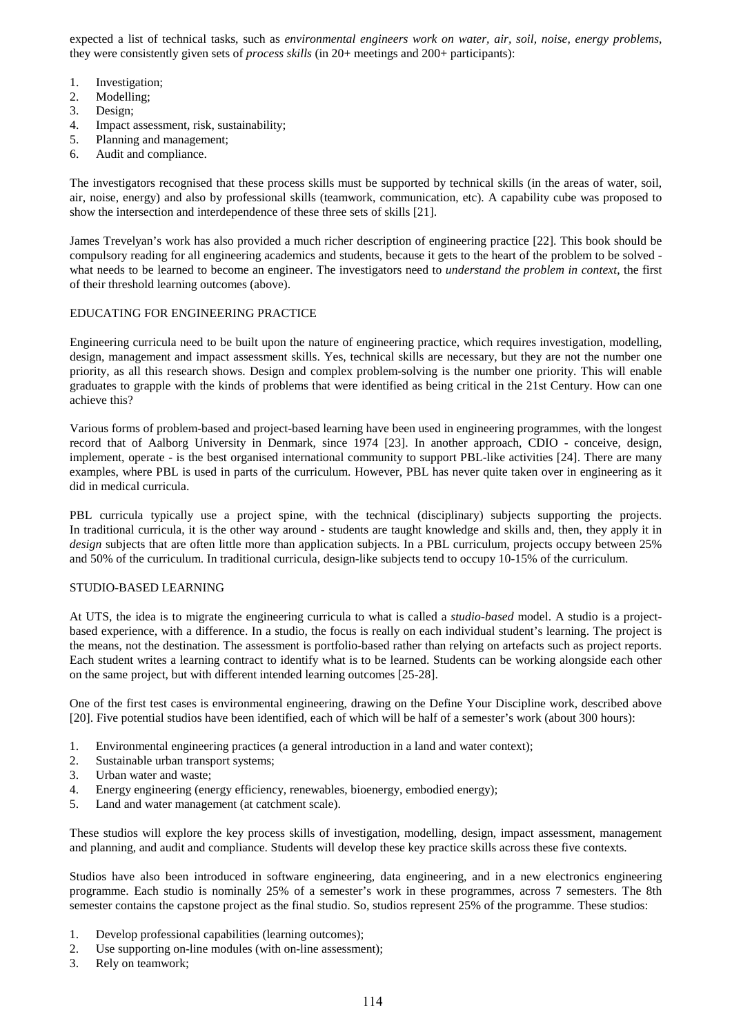expected a list of technical tasks, such as *environmental engineers work on water, air, soil, noise, energy problems*, they were consistently given sets of *process skills* (in 20+ meetings and 200+ participants):

- 1. Investigation;
- 2. Modelling;
- 3. Design;
- 4. Impact assessment, risk, sustainability;
- 5. Planning and management;
- 6. Audit and compliance.

The investigators recognised that these process skills must be supported by technical skills (in the areas of water, soil, air, noise, energy) and also by professional skills (teamwork, communication, etc). A capability cube was proposed to show the intersection and interdependence of these three sets of skills [21].

James Trevelyan's work has also provided a much richer description of engineering practice [22]. This book should be compulsory reading for all engineering academics and students, because it gets to the heart of the problem to be solved what needs to be learned to become an engineer. The investigators need to *understand the problem in context*, the first of their threshold learning outcomes (above).

## EDUCATING FOR ENGINEERING PRACTICE

Engineering curricula need to be built upon the nature of engineering practice, which requires investigation, modelling, design, management and impact assessment skills. Yes, technical skills are necessary, but they are not the number one priority, as all this research shows. Design and complex problem-solving is the number one priority. This will enable graduates to grapple with the kinds of problems that were identified as being critical in the 21st Century. How can one achieve this?

Various forms of problem-based and project-based learning have been used in engineering programmes, with the longest record that of Aalborg University in Denmark, since 1974 [23]. In another approach, CDIO - conceive, design, implement, operate - is the best organised international community to support PBL-like activities [24]. There are many examples, where PBL is used in parts of the curriculum. However, PBL has never quite taken over in engineering as it did in medical curricula.

PBL curricula typically use a project spine, with the technical (disciplinary) subjects supporting the projects. In traditional curricula, it is the other way around - students are taught knowledge and skills and, then, they apply it in *design* subjects that are often little more than application subjects. In a PBL curriculum, projects occupy between 25% and 50% of the curriculum. In traditional curricula, design-like subjects tend to occupy 10-15% of the curriculum.

## STUDIO-BASED LEARNING

At UTS, the idea is to migrate the engineering curricula to what is called a *studio-based* model. A studio is a projectbased experience, with a difference. In a studio, the focus is really on each individual student's learning. The project is the means, not the destination. The assessment is portfolio-based rather than relying on artefacts such as project reports. Each student writes a learning contract to identify what is to be learned. Students can be working alongside each other on the same project, but with different intended learning outcomes [25-28].

One of the first test cases is environmental engineering, drawing on the Define Your Discipline work, described above [20]. Five potential studios have been identified, each of which will be half of a semester's work (about 300 hours):

- 1. Environmental engineering practices (a general introduction in a land and water context);
- 2. Sustainable urban transport systems;
- 3. Urban water and waste;
- 4. Energy engineering (energy efficiency, renewables, bioenergy, embodied energy);
- 5. Land and water management (at catchment scale).

These studios will explore the key process skills of investigation, modelling, design, impact assessment, management and planning, and audit and compliance. Students will develop these key practice skills across these five contexts.

Studios have also been introduced in software engineering, data engineering, and in a new electronics engineering programme. Each studio is nominally 25% of a semester's work in these programmes, across 7 semesters. The 8th semester contains the capstone project as the final studio. So, studios represent 25% of the programme. These studios:

- 1. Develop professional capabilities (learning outcomes);
- 2. Use supporting on-line modules (with on-line assessment);
- 3. Rely on teamwork;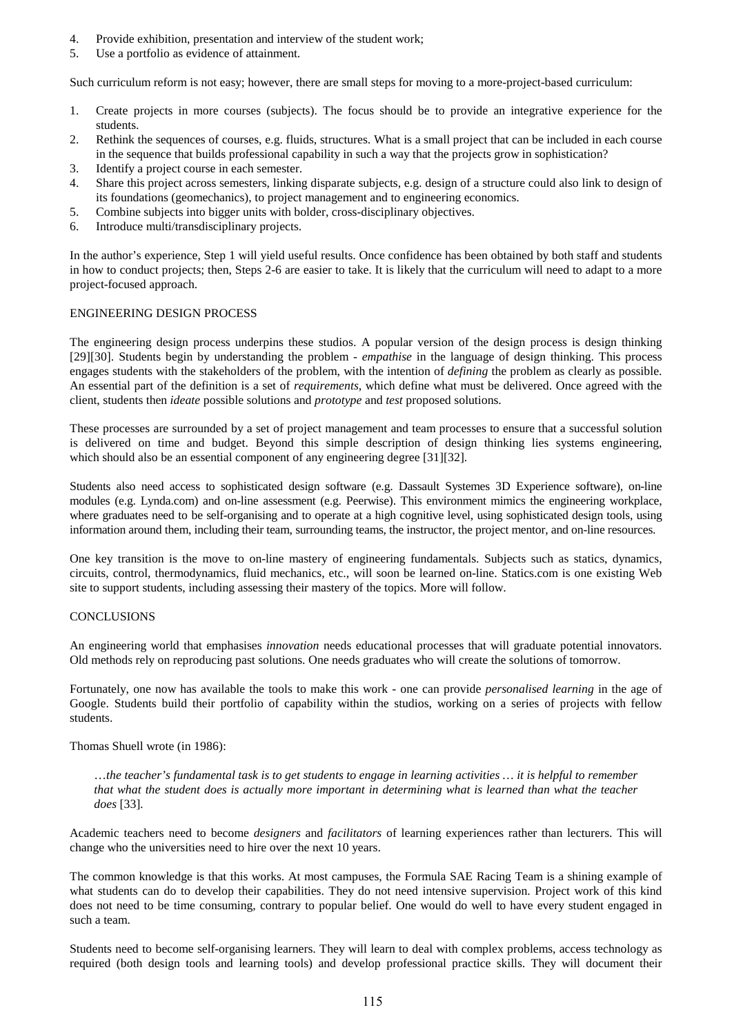- 4. Provide exhibition, presentation and interview of the student work;
- 5. Use a portfolio as evidence of attainment.

Such curriculum reform is not easy; however, there are small steps for moving to a more-project-based curriculum:

- 1. Create projects in more courses (subjects). The focus should be to provide an integrative experience for the students.
- 2. Rethink the sequences of courses, e.g. fluids, structures. What is a small project that can be included in each course in the sequence that builds professional capability in such a way that the projects grow in sophistication?
- 3. Identify a project course in each semester.
- 4. Share this project across semesters, linking disparate subjects, e.g. design of a structure could also link to design of its foundations (geomechanics), to project management and to engineering economics.
- 5. Combine subjects into bigger units with bolder, cross-disciplinary objectives.
- 6. Introduce multi/transdisciplinary projects.

In the author's experience, Step 1 will yield useful results. Once confidence has been obtained by both staff and students in how to conduct projects; then, Steps 2-6 are easier to take. It is likely that the curriculum will need to adapt to a more project-focused approach.

#### ENGINEERING DESIGN PROCESS

The engineering design process underpins these studios. A popular version of the design process is design thinking [29][30]. Students begin by understanding the problem - *empathise* in the language of design thinking. This process engages students with the stakeholders of the problem, with the intention of *defining* the problem as clearly as possible. An essential part of the definition is a set of *requirements*, which define what must be delivered. Once agreed with the client, students then *ideate* possible solutions and *prototype* and *test* proposed solutions.

These processes are surrounded by a set of project management and team processes to ensure that a successful solution is delivered on time and budget. Beyond this simple description of design thinking lies systems engineering, which should also be an essential component of any engineering degree [31][32].

Students also need access to sophisticated design software (e.g. Dassault Systemes 3D Experience software), on-line modules (e.g. Lynda.com) and on-line assessment (e.g. Peerwise). This environment mimics the engineering workplace, where graduates need to be self-organising and to operate at a high cognitive level, using sophisticated design tools, using information around them, including their team, surrounding teams, the instructor, the project mentor, and on-line resources.

One key transition is the move to on-line mastery of engineering fundamentals. Subjects such as statics, dynamics, circuits, control, thermodynamics, fluid mechanics, etc., will soon be learned on-line. Statics.com is one existing Web site to support students, including assessing their mastery of the topics. More will follow.

#### **CONCLUSIONS**

An engineering world that emphasises *innovation* needs educational processes that will graduate potential innovators. Old methods rely on reproducing past solutions. One needs graduates who will create the solutions of tomorrow.

Fortunately, one now has available the tools to make this work - one can provide *personalised learning* in the age of Google. Students build their portfolio of capability within the studios, working on a series of projects with fellow students.

Thomas Shuell wrote (in 1986):

…*the teacher's fundamental task is to get students to engage in learning activities … it is helpful to remember that what the student does is actually more important in determining what is learned than what the teacher does* [33]*.* 

Academic teachers need to become *designers* and *facilitators* of learning experiences rather than lecturers. This will change who the universities need to hire over the next 10 years.

The common knowledge is that this works. At most campuses, the Formula SAE Racing Team is a shining example of what students can do to develop their capabilities. They do not need intensive supervision. Project work of this kind does not need to be time consuming, contrary to popular belief. One would do well to have every student engaged in such a team.

Students need to become self-organising learners. They will learn to deal with complex problems, access technology as required (both design tools and learning tools) and develop professional practice skills. They will document their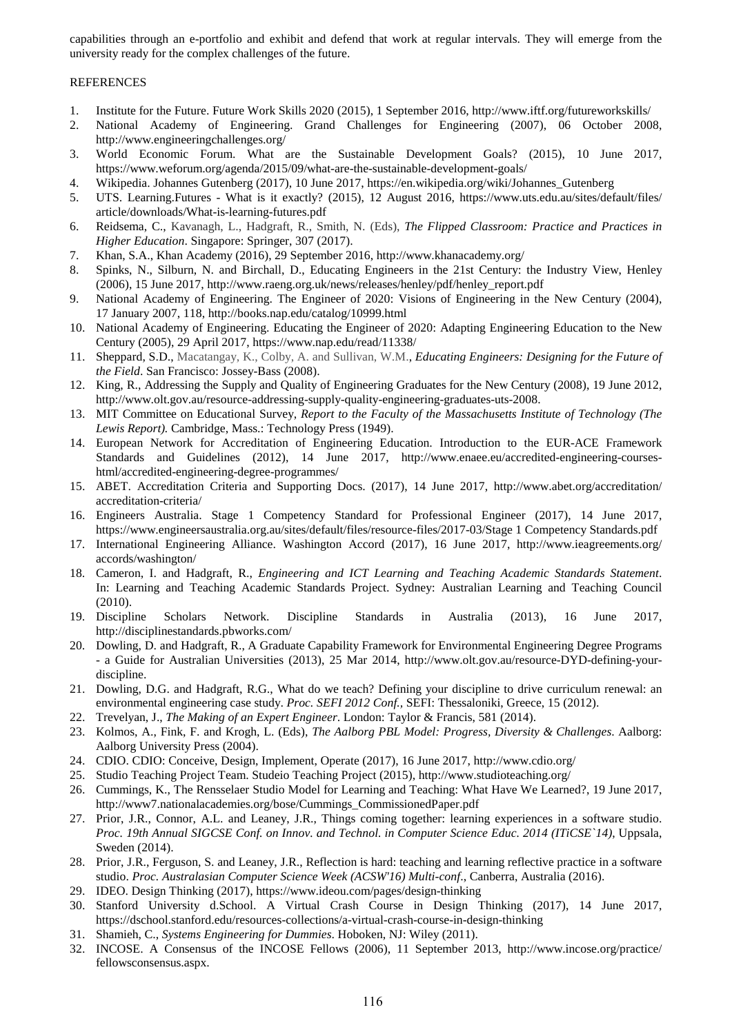capabilities through an e-portfolio and exhibit and defend that work at regular intervals. They will emerge from the university ready for the complex challenges of the future.

### REFERENCES

- 1. Institute for the Future. Future Work Skills 2020 (2015), 1 September 2016, http://www.iftf.org/futureworkskills/
- 2. National Academy of Engineering. Grand Challenges for Engineering (2007), 06 October 2008, http://www.engineeringchallenges.org/
- 3. World Economic Forum. What are the Sustainable Development Goals? (2015), 10 June 2017, https://www.weforum.org/agenda/2015/09/what-are-the-sustainable-development-goals/
- 4. Wikipedia. Johannes Gutenberg (2017), 10 June 2017, https://en.wikipedia.org/wiki/Johannes\_Gutenberg
- 5. UTS. Learning.Futures What is it exactly? (2015), 12 August 2016, https://www.uts.edu.au/sites/default/files/ article/downloads/What-is-learning-futures.pdf
- 6. Reidsema, C., Kavanagh, L., Hadgraft, R., Smith, N. (Eds), *The Flipped Classroom: Practice and Practices in Higher Education*. Singapore: Springer, 307 (2017).
- 7. Khan, S.A., Khan Academy (2016), 29 September 2016, http://www.khanacademy.org/
- 8. Spinks, N., Silburn, N. and Birchall, D., Educating Engineers in the 21st Century: the Industry View, Henley (2006), 15 June 2017, http://www.raeng.org.uk/news/releases/henley/pdf/henley\_report.pdf
- 9. National Academy of Engineering. The Engineer of 2020: Visions of Engineering in the New Century (2004), 17 January 2007, 118, http://books.nap.edu/catalog/10999.html
- 10. National Academy of Engineering. Educating the Engineer of 2020: Adapting Engineering Education to the New Century (2005), 29 April 2017, https://www.nap.edu/read/11338/
- 11. Sheppard, S.D., Macatangay, K., Colby, A. and Sullivan, W.M., *Educating Engineers: Designing for the Future of the Field*. San Francisco: Jossey-Bass (2008).
- 12. King, R., Addressing the Supply and Quality of Engineering Graduates for the New Century (2008), 19 June 2012, http://www.olt.gov.au/resource-addressing-supply-quality-engineering-graduates-uts-2008.
- 13. MIT Committee on Educational Survey, *Report to the Faculty of the Massachusetts Institute of Technology (The Lewis Report).* Cambridge, Mass.: Technology Press (1949).
- 14. European Network for Accreditation of Engineering Education. Introduction to the EUR-ACE Framework Standards and Guidelines (2012), 14 June 2017, http://www.enaee.eu/accredited-engineering-courseshtml/accredited-engineering-degree-programmes/
- 15. ABET. Accreditation Criteria and Supporting Docs. (2017), 14 June 2017, http://www.abet.org/accreditation/ accreditation-criteria/
- 16. Engineers Australia. Stage 1 Competency Standard for Professional Engineer (2017), 14 June 2017, https://www.engineersaustralia.org.au/sites/default/files/resource-files/2017-03/Stage 1 Competency Standards.pdf
- 17. International Engineering Alliance. Washington Accord (2017), 16 June 2017, http://www.ieagreements.org/ accords/washington/
- 18. Cameron, I. and Hadgraft, R., *Engineering and ICT Learning and Teaching Academic Standards Statement*. In: Learning and Teaching Academic Standards Project. Sydney: Australian Learning and Teaching Council (2010).
- 19. Discipline Scholars Network. Discipline Standards in Australia (2013), 16 June 2017, http://disciplinestandards.pbworks.com/
- 20. Dowling, D. and Hadgraft, R., A Graduate Capability Framework for Environmental Engineering Degree Programs - a Guide for Australian Universities (2013), 25 Mar 2014, http://www.olt.gov.au/resource-DYD-defining-yourdiscipline.
- 21. Dowling, D.G. and Hadgraft, R.G., What do we teach? Defining your discipline to drive curriculum renewal: an environmental engineering case study. *Proc. SEFI 2012 Conf.,* SEFI: Thessaloniki, Greece, 15 (2012).
- 22. Trevelyan, J., *The Making of an Expert Engineer*. London: Taylor & Francis, 581 (2014).
- 23. Kolmos, A., Fink, F. and Krogh, L. (Eds), *The Aalborg PBL Model: Progress, Diversity & Challenges*. Aalborg: Aalborg University Press (2004).
- 24. CDIO. CDIO: Conceive, Design, Implement, Operate (2017), 16 June 2017, http://www.cdio.org/
- 25. Studio Teaching Project Team. Studeio Teaching Project (2015), http://www.studioteaching.org/
- 26. Cummings, K., The Rensselaer Studio Model for Learning and Teaching: What Have We Learned?, 19 June 2017, http://www7.nationalacademies.org/bose/Cummings\_CommissionedPaper.pdf
- 27. Prior, J.R., Connor, A.L. and Leaney, J.R., Things coming together: learning experiences in a software studio. *Proc. 19th Annual SIGCSE Conf. on Innov. and Technol. in Computer Science Educ. 2014 (ITiCSE`14)*, Uppsala, Sweden (2014).
- 28. Prior, J.R., Ferguson, S. and Leaney, J.R., Reflection is hard: teaching and learning reflective practice in a software studio. *Proc. Australasian Computer Science Week (ACSW'16) Multi-conf*., Canberra, Australia (2016).
- 29. IDEO. Design Thinking (2017), https://www.ideou.com/pages/design-thinking
- 30. Stanford University d.School. A Virtual Crash Course in Design Thinking (2017), 14 June 2017, https://dschool.stanford.edu/resources-collections/a-virtual-crash-course-in-design-thinking
- 31. Shamieh, C., *Systems Engineering for Dummies*. Hoboken, NJ: Wiley (2011).
- 32. INCOSE. A Consensus of the INCOSE Fellows (2006), 11 September 2013, http://www.incose.org/practice/ fellowsconsensus.aspx.